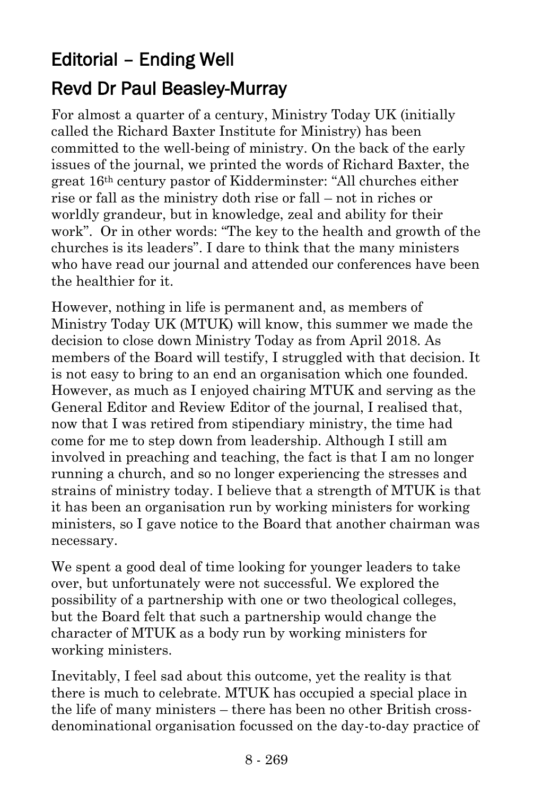## Editorial – Ending Well Revd Dr Paul Beasley-Murray

For almost a quarter of a century, Ministry Today UK (initially called the Richard Baxter Institute for Ministry) has been committed to the well-being of ministry. On the back of the early issues of the journal, we printed the words of Richard Baxter, the great 16th century pastor of Kidderminster: "All churches either rise or fall as the ministry doth rise or fall – not in riches or worldly grandeur, but in knowledge, zeal and ability for their work". Or in other words: "The key to the health and growth of the churches is its leaders". I dare to think that the many ministers who have read our journal and attended our conferences have been the healthier for it.

However, nothing in life is permanent and, as members of Ministry Today UK (MTUK) will know, this summer we made the decision to close down Ministry Today as from April 2018. As members of the Board will testify, I struggled with that decision. It is not easy to bring to an end an organisation which one founded. However, as much as I enjoyed chairing MTUK and serving as the General Editor and Review Editor of the journal, I realised that, now that I was retired from stipendiary ministry, the time had come for me to step down from leadership. Although I still am involved in preaching and teaching, the fact is that I am no longer running a church, and so no longer experiencing the stresses and strains of ministry today. I believe that a strength of MTUK is that it has been an organisation run by working ministers for working ministers, so I gave notice to the Board that another chairman was necessary.

We spent a good deal of time looking for younger leaders to take over, but unfortunately were not successful. We explored the possibility of a partnership with one or two theological colleges, but the Board felt that such a partnership would change the character of MTUK as a body run by working ministers for working ministers.

Inevitably, I feel sad about this outcome, yet the reality is that there is much to celebrate. MTUK has occupied a special place in the life of many ministers – there has been no other British crossdenominational organisation focussed on the day-to-day practice of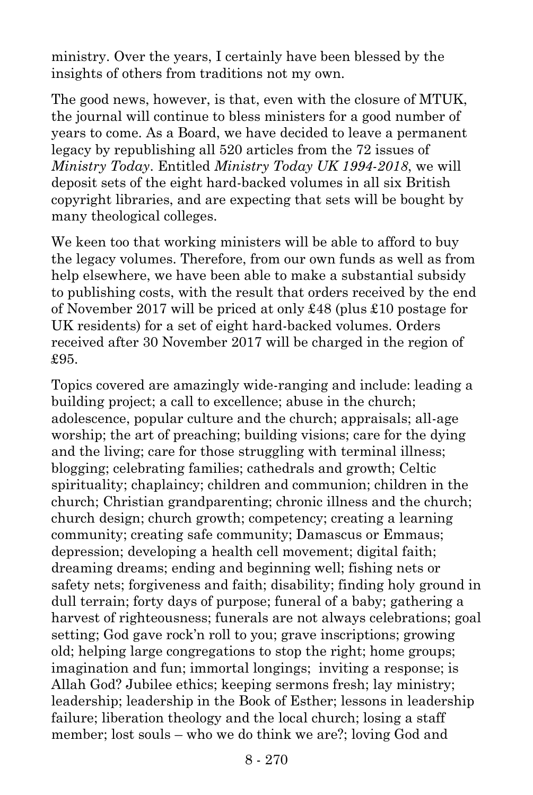ministry. Over the years, I certainly have been blessed by the insights of others from traditions not my own.

The good news, however, is that, even with the closure of MTUK, the journal will continue to bless ministers for a good number of years to come. As a Board, we have decided to leave a permanent legacy by republishing all 520 articles from the 72 issues of *Ministry Today*. Entitled *Ministry Today UK 1994-2018*, we will deposit sets of the eight hard-backed volumes in all six British copyright libraries, and are expecting that sets will be bought by many theological colleges.

We keen too that working ministers will be able to afford to buy the legacy volumes. Therefore, from our own funds as well as from help elsewhere, we have been able to make a substantial subsidy to publishing costs, with the result that orders received by the end of November 2017 will be priced at only £48 (plus £10 postage for UK residents) for a set of eight hard-backed volumes. Orders received after 30 November 2017 will be charged in the region of £95.

Topics covered are amazingly wide-ranging and include: leading a building project; a call to excellence; abuse in the church; adolescence, popular culture and the church; appraisals; all-age worship; the art of preaching; building visions; care for the dying and the living; care for those struggling with terminal illness; blogging; celebrating families; cathedrals and growth; Celtic spirituality; chaplaincy; children and communion; children in the church; Christian grandparenting; chronic illness and the church; church design; church growth; competency; creating a learning community; creating safe community; Damascus or Emmaus; depression; developing a health cell movement; digital faith; dreaming dreams; ending and beginning well; fishing nets or safety nets; forgiveness and faith; disability; finding holy ground in dull terrain; forty days of purpose; funeral of a baby; gathering a harvest of righteousness; funerals are not always celebrations; goal setting; God gave rock'n roll to you; grave inscriptions; growing old; helping large congregations to stop the right; home groups; imagination and fun; immortal longings; inviting a response; is Allah God? Jubilee ethics; keeping sermons fresh; lay ministry; leadership; leadership in the Book of Esther; lessons in leadership failure; liberation theology and the local church; losing a staff member; lost souls – who we do think we are?; loving God and